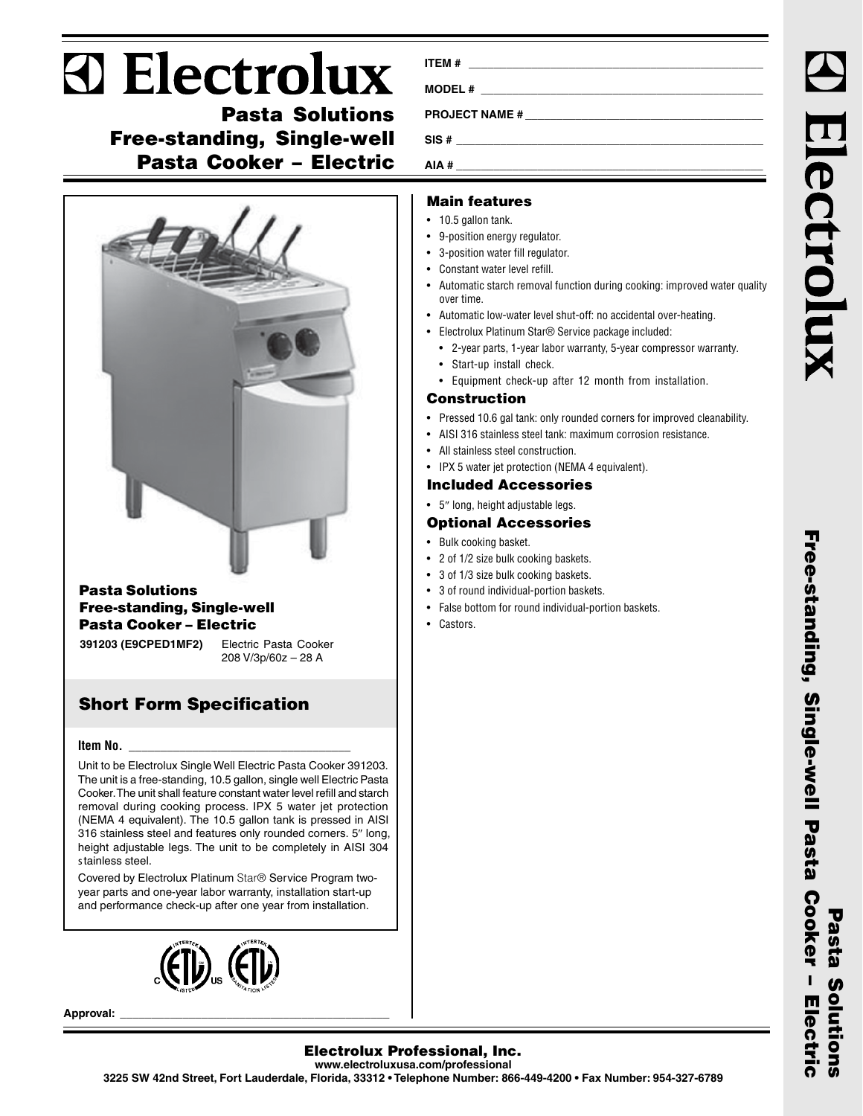# **D** Electrolux

**Pasta Solutions Free-standing, Single-well Pasta Cooker – Electric**



## **Pasta Solutions Free-standing, Single-well Pasta Cooker – Electric**

**391203 (E9CPED1MF2)** Electric Pasta Cooker 208 V/3p/60z – 28 A

# **Short Form Specification**

### **Item No. \_\_\_\_\_\_\_\_\_\_\_\_\_\_\_\_\_\_\_\_\_\_\_\_\_\_\_\_\_\_\_\_\_\_\_**

Unit to be Electrolux Single Well Electric Pasta Cooker 391203. The unit is a free-standing, 10.5 gallon, single well Electric Pasta Cooker. The unit shall feature constant water level refill and starch removal during cooking process. IPX 5 water jet protection (NEMA 4 equivalent). The 10.5 gallon tank is pressed in AISI 316 stainless steel and features only rounded corners. 5″ long, height adjustable legs. The unit to be completely in AISI 304 stainless steel.

Covered by Electrolux Platinum Star® Service Program twoyear parts and one-year labor warranty, installation start-up and performance check-up after one year from installation.



**Approval: \_\_\_\_\_\_\_\_\_\_\_\_\_\_\_\_\_\_\_\_\_\_\_\_\_\_\_\_\_\_\_\_\_\_\_\_\_\_\_\_\_\_\_**

| ITEM # |  |
|--------|--|
|        |  |
|        |  |
|        |  |
| AIA #  |  |

## **Main features**

- 10.5 gallon tank.
- 9-position energy regulator.
- 3-position water fill regulator.
- Constant water level refill.
- Automatic starch removal function during cooking: improved water quality over time.
- Automatic low-water level shut-off: no accidental over-heating.
- Electrolux Platinum Star® Service package included:
	- 2-year parts, 1-year labor warranty, 5-year compressor warranty.
	- Start-up install check.
	- Equipment check-up after 12 month from installation.

## **Construction**

- Pressed 10.6 gal tank: only rounded corners for improved cleanability.
- AISI 316 stainless steel tank: maximum corrosion resistance.
- All stainless steel construction.
- IPX 5 water jet protection (NEMA 4 equivalent).

## **Included Accessories**

• 5″ long, height adjustable legs.

# **Optional Accessories**

- Bulk cooking basket.
- 2 of 1/2 size bulk cooking baskets.
- 3 of 1/3 size bulk cooking baskets.
- 3 of round individual-portion baskets.
- False bottom for round individual-portion baskets.
- Castors.

Electrolu

## **Electrolux Professional, Inc. www.electroluxusa.com/professional**

**3225 SW 42nd Street, Fort Lauderdale, Florida, 33312 • Telephone Number: 866-449-4200 • Fax Number: 954-327-6789**